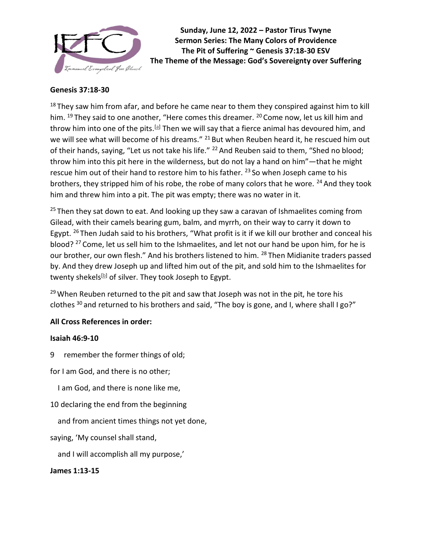

Sunday, June 12, 2022 – Pastor Tirus Twyne Sermon Series: The Many Colors of Providence The Pit of Suffering ~ Genesis 37:18-30 ESV The Theme of the Message: God's Sovereignty over Suffering

#### Genesis 37:18-30

 $18$  They saw him from afar, and before he came near to them they conspired against him to kill him.  $^{19}$  They said to one another, "Here comes this dreamer.  $^{20}$  Come now, let us kill him and throw him into one of the pits.<sup>[a]</sup> Then we will say that a fierce animal has devoured him, and we will see what will become of his dreams." <sup>21</sup> But when Reuben heard it, he rescued him out of their hands, saying, "Let us not take his life." <sup>22</sup> And Reuben said to them, "Shed no blood; throw him into this pit here in the wilderness, but do not lay a hand on him"—that he might rescue him out of their hand to restore him to his father. <sup>23</sup> So when Joseph came to his brothers, they stripped him of his robe, the robe of many colors that he wore.  $24$  And they took him and threw him into a pit. The pit was empty; there was no water in it.

 $25$  Then they sat down to eat. And looking up they saw a caravan of Ishmaelites coming from Gilead, with their camels bearing gum, balm, and myrrh, on their way to carry it down to Egypt.  $^{26}$  Then Judah said to his brothers, "What profit is it if we kill our brother and conceal his blood?<sup>27</sup> Come, let us sell him to the Ishmaelites, and let not our hand be upon him, for he is our brother, our own flesh." And his brothers listened to him. <sup>28</sup> Then Midianite traders passed by. And they drew Joseph up and lifted him out of the pit, and sold him to the Ishmaelites for twenty shekels<sup>[b]</sup> of silver. They took Joseph to Egypt.

<sup>29</sup> When Reuben returned to the pit and saw that Joseph was not in the pit, he tore his clothes  $30$  and returned to his brothers and said, "The boy is gone, and I, where shall I go?"

### All Cross References in order:

### Isaiah 46:9-10

- 9 remember the former things of old;
- for I am God, and there is no other;
	- I am God, and there is none like me,
- 10 declaring the end from the beginning
	- and from ancient times things not yet done,
- saying, 'My counsel shall stand,
	- and I will accomplish all my purpose,'

### James 1:13-15